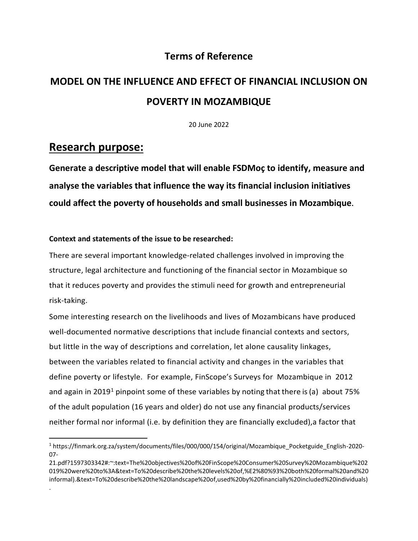# **Terms of Reference**

# **MODEL ON THE INFLUENCE AND EFFECT OF FINANCIAL INCLUSION ON POVERTY IN MOZAMBIQUE**

20 June 2022

# **Research purpose:**

.

**Generate a descriptive model that will enable FSDMoç to identify, measure and analyse the variables that influence the way its financial inclusion initiatives could affect the poverty of households and small businesses in Mozambique.** 

## **Context and statements of the issue to be researched:**

There are several important knowledge-related challenges involved in improving the structure, legal architecture and functioning of the financial sector in Mozambique so that it reduces poverty and provides the stimuli need for growth and entrepreneurial risk-taking.

Some interesting research on the livelihoods and lives of Mozambicans have produced well-documented normative descriptions that include financial contexts and sectors, but little in the way of descriptions and correlation, let alone causality linkages, between the variables related to financial activity and changes in the variables that define poverty or lifestyle. For example, FinScope's Surveys for Mozambique in 2012 and again in 2019<sup>1</sup> pinpoint some of these variables by noting that there is (a) about 75% of the adult population (16 years and older) do not use any financial products/services neither formal nor informal (i.e. by definition they are financially excluded),a factor that

<sup>1</sup> https://finmark.org.za/system/documents/files/000/000/154/original/Mozambique\_Pocketguide\_English-2020- 07-

<sup>21.</sup>pdf?1597303342#:~:text=The%20objectives%20of%20FinScope%20Consumer%20Survey%20Mozambique%202 019%20were%20to%3A&text=To%20describe%20the%20levels%20of,%E2%80%93%20both%20formal%20and%20 informal).&text=To%20describe%20the%20landscape%20of,used%20by%20financially%20included%20individuals)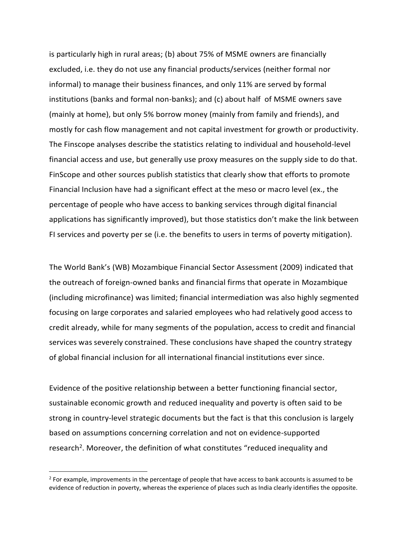is particularly high in rural areas; (b) about 75% of MSME owners are financially excluded, i.e. they do not use any financial products/services (neither formal nor informal) to manage their business finances, and only 11% are served by formal institutions (banks and formal non-banks); and (c) about half of MSME owners save (mainly at home), but only 5% borrow money (mainly from family and friends), and mostly for cash flow management and not capital investment for growth or productivity. The Finscope analyses describe the statistics relating to individual and household-level financial access and use, but generally use proxy measures on the supply side to do that. FinScope and other sources publish statistics that clearly show that efforts to promote Financial Inclusion have had a significant effect at the meso or macro level (ex., the percentage of people who have access to banking services through digital financial applications has significantly improved), but those statistics don't make the link between FI services and poverty per se (i.e. the benefits to users in terms of poverty mitigation).

The World Bank's (WB) Mozambique Financial Sector Assessment (2009) indicated that the outreach of foreign-owned banks and financial firms that operate in Mozambique (including microfinance) was limited; financial intermediation was also highly segmented focusing on large corporates and salaried employees who had relatively good access to credit already, while for many segments of the population, access to credit and financial services was severely constrained. These conclusions have shaped the country strategy of global financial inclusion for all international financial institutions ever since.

Evidence of the positive relationship between a better functioning financial sector, sustainable economic growth and reduced inequality and poverty is often said to be strong in country-level strategic documents but the fact is that this conclusion is largely based on assumptions concerning correlation and not on evidence-supported research<sup>2</sup>. Moreover, the definition of what constitutes "reduced inequality and

 $2$  For example, improvements in the percentage of people that have access to bank accounts is assumed to be evidence of reduction in poverty, whereas the experience of places such as India clearly identifies the opposite.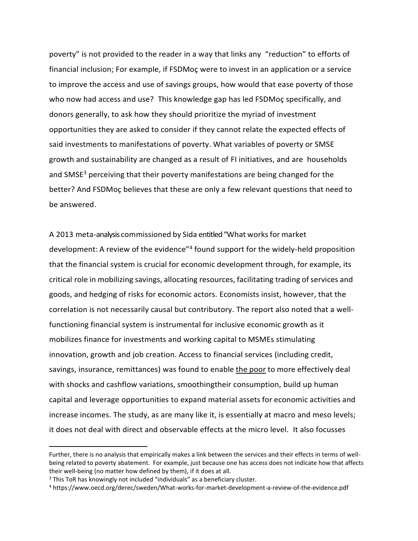poverty" is not provided to the reader in a way that links any "reduction" to efforts of financial inclusion; For example, if FSDMoç were to invest in an application or a service to improve the access and use of savings groups, how would that ease poverty of those who now had access and use? This knowledge gap has led FSDMoç specifically, and donors generally, to ask how they should prioritize the myriad of investment opportunities they are asked to consider if they cannot relate the expected effects of said investments to manifestations of poverty. What variables of poverty or SMSE growth and sustainability are changed as a result of FI initiatives, and are households and SMSE<sup>3</sup> perceiving that their poverty manifestations are being changed for the better? And FSDMoç believes that these are only a few relevant questions that need to be answered.

A 2013 meta-analysis commissioned by Sida entitled "What worksfor market development: A review of the evidence"<sup>4</sup> found support for the widely-held proposition that the financial system is crucial for economic development through, for example, its critical role in mobilizing savings, allocating resources, facilitating trading ofservices and goods, and hedging of risks for economic actors. Economists insist, however, that the correlation is not necessarily causal but contributory. The report also noted that a wellfunctioning financial system is instrumental for inclusive economic growth as it mobilizes finance for investments and working capital to MSMEs stimulating innovation, growth and job creation. Access to financial services (including credit, savings, insurance, remittances) was found to enable the poor to more effectively deal with shocks and cashflow variations, smoothingtheir consumption, build up human capital and leverage opportunities to expand material assets for economic activities and increase incomes. The study, as are many like it, is essentially at macro and meso levels; it does not deal with direct and observable effects at the micro level. It also focusses

Further, there is no analysis that empirically makes a link between the services and their effects in terms of wellbeing related to poverty abatement. For example, just because one has access does not indicate how that affects their well-being (no matter how defined by them), if it does at all.

 $3$  This ToR has knowingly not included "individuals" as a beneficiary cluster.

<sup>4</sup> https://www.oecd.org/derec/sweden/What-works-for-market-development-a-review-of-the-evidence.pdf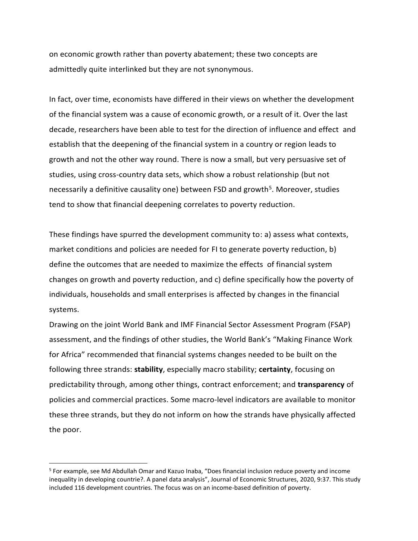on economic growth rather than poverty abatement; these two concepts are admittedly quite interlinked but they are not synonymous.

In fact, over time, economists have differed in their views on whether the development of the financial system was a cause of economic growth, or a result of it. Over the last decade, researchers have been able to test for the direction of influence and effect and establish that the deepening of the financial system in a country or region leads to growth and not the other way round. There is now a small, but very persuasive set of studies, using cross-country data sets, which show a robust relationship (but not necessarily a definitive causality one) between FSD and growth<sup>5</sup>. Moreover, studies tend to show that financial deepening correlates to poverty reduction.

These findings have spurred the development community to: a) assess what contexts, market conditions and policies are needed for FI to generate poverty reduction, b) define the outcomes that are needed to maximize the effects of financial system changes on growth and poverty reduction, and c) define specifically how the poverty of individuals, households and small enterprises is affected by changes in the financial systems.

Drawing on the joint World Bank and IMF Financial Sector Assessment Program (FSAP) assessment, and the findings of other studies, the World Bank's "Making Finance Work for Africa" recommended that financial systems changes needed to be built on the following three strands: **stability**, especially macro stability; **certainty**, focusing on predictability through, among other things, contract enforcement; and **transparency** of policies and commercial practices. Some macro-level indicators are available to monitor these three strands, but they do not inform on how the strands have physically affected the poor.

<sup>5</sup> For example, see Md Abdullah Omar and Kazuo Inaba, "Does financial inclusion reduce poverty and income inequality in developing countrie?. A panel data analysis", Journal of Economic Structures, 2020, 9:37. This study included 116 development countries. The focus was on an income-based definition of poverty.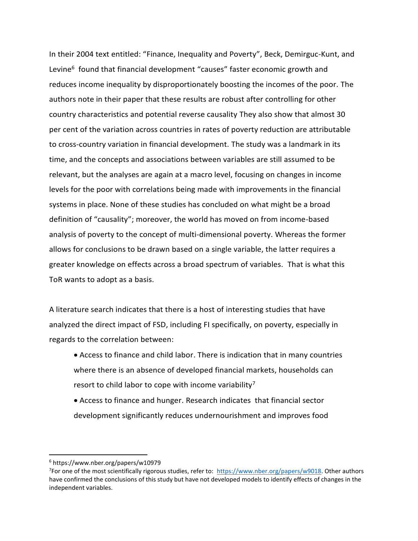In their 2004 text entitled: "Finance, Inequality and Poverty", Beck, Demirguc-Kunt, and Levine<sup>6</sup> found that financial development "causes" faster economic growth and reduces income inequality by disproportionately boosting the incomes of the poor. The authors note in their paper that these results are robust after controlling for other country characteristics and potential reverse causality They also show that almost 30 per cent of the variation across countries in rates of poverty reduction are attributable to cross-country variation in financial development. The study was a landmark in its time, and the concepts and associations between variables are still assumed to be relevant, but the analyses are again at a macro level, focusing on changes in income levels for the poor with correlations being made with improvements in the financial systems in place. None of these studies has concluded on what might be a broad definition of "causality"; moreover, the world has moved on from income-based analysis of poverty to the concept of multi-dimensional poverty. Whereas the former allows for conclusions to be drawn based on a single variable, the latter requires a greater knowledge on effects across a broad spectrum of variables. That is what this ToR wants to adopt as a basis.

A literature search indicates that there is a host of interesting studies that have analyzed the direct impact of FSD, including FI specifically, on poverty, especially in regards to the correlation between:

- Access to finance and child labor. There is indication that in many countries where there is an absence of developed financial markets, households can resort to child labor to cope with income variability<sup>7</sup>
- Access to finance and hunger. Research indicates that financial sector development significantly reduces undernourishment and improves food

<sup>6</sup> https://www.nber.org/papers/w10979

<sup>&</sup>lt;sup>7</sup>For one of the most scientifically rigorous studies, refer to: [https://www.nber.org/papers/w9018.](https://www.nber.org/papers/w9018) Other authors have confirmed the conclusions of this study but have not developed models to identify effects of changes in the independent variables.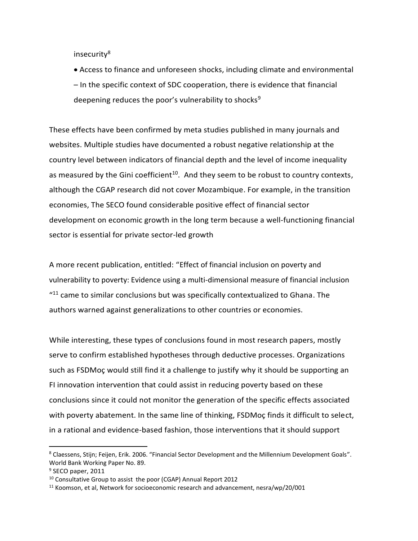insecurity<sup>8</sup>

• Access to finance and unforeseen shocks, including climate and environmental – In the specific context of SDC cooperation, there is evidence that financial deepening reduces the poor's vulnerability to shocks<sup>9</sup>

These effects have been confirmed by meta studies published in many journals and websites. Multiple studies have documented a robust negative relationship at the country level between indicators of financial depth and the level of income inequality as measured by the Gini coefficient<sup>10</sup>. And they seem to be robust to country contexts, although the CGAP research did not cover Mozambique. For example, in the transition economies, The SECO found considerable positive effect of financial sector development on economic growth in the long term because a well-functioning financial sector is essential for private sector-led growth

A more recent publication, entitled: "Effect of financial inclusion on poverty and vulnerability to poverty: Evidence using a multi-dimensional measure of financial inclusion  $11$  came to similar conclusions but was specifically contextualized to Ghana. The authors warned against generalizations to other countries or economies.

While interesting, these types of conclusions found in most research papers, mostly serve to confirm established hypotheses through deductive processes. Organizations such as FSDMoç would still find it a challenge to justify why it should be supporting an FI innovation intervention that could assist in reducing poverty based on these conclusions since it could not monitor the generation of the specific effects associated with poverty abatement. In the same line of thinking, FSDMoç finds it difficult to select, in a rational and evidence-based fashion, those interventions that it should support

<sup>8</sup> Claessens, Stijn; Feijen, Erik. 2006. "Financial Sector Development and the Millennium Development Goals". World Bank Working Paper No. 89.

<sup>&</sup>lt;sup>9</sup> SECO paper, 2011

 $10$  Consultative Group to assist the poor (CGAP) Annual Report 2012

 $11$  Koomson, et al, Network for socioeconomic research and advancement, nesra/wp/20/001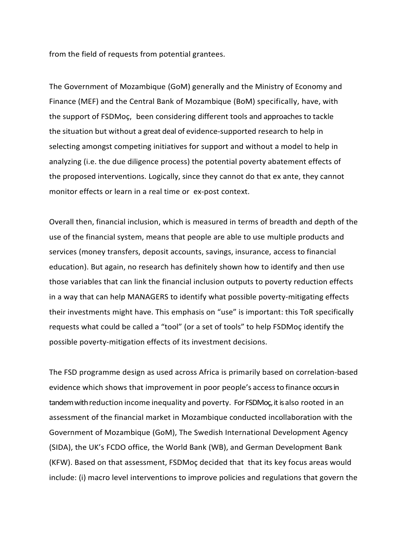from the field of requests from potential grantees.

The Government of Mozambique (GoM) generally and the Ministry of Economy and Finance (MEF) and the Central Bank of Mozambique (BoM) specifically, have, with the support of FSDMoç, been considering different tools and approaches to tackle the situation but without a great deal of evidence-supported research to help in selecting amongst competing initiatives for support and without a model to help in analyzing (i.e. the due diligence process) the potential poverty abatement effects of the proposed interventions. Logically, since they cannot do that ex ante, they cannot monitor effects or learn in a real time or ex-post context.

Overall then, financial inclusion, which is measured in terms of breadth and depth of the use of the financial system, means that people are able to use multiple products and services (money transfers, deposit accounts, savings, insurance, access to financial education). But again, no research has definitely shown how to identify and then use those variables that can link the financial inclusion outputs to poverty reduction effects in a way that can help MANAGERS to identify what possible poverty-mitigating effects their investments might have. This emphasis on "use" is important: this ToR specifically requests what could be called a "tool" (or a set of tools" to help FSDMoç identify the possible poverty-mitigation effects of its investment decisions.

The FSD programme design as used across Africa is primarily based on correlation-based evidence which shows that improvement in poor people's accessto finance occurs in tandem with reduction income inequality and poverty. For FSDMoc, it is also rooted in an assessment of the financial market in Mozambique conducted incollaboration with the Government of Mozambique (GoM), The Swedish International Development Agency (SIDA), the UK's FCDO office, the World Bank (WB), and German Development Bank (KFW). Based on that assessment, FSDMoç decided that that its key focus areas would include: (i) macro level interventions to improve policies and regulations that govern the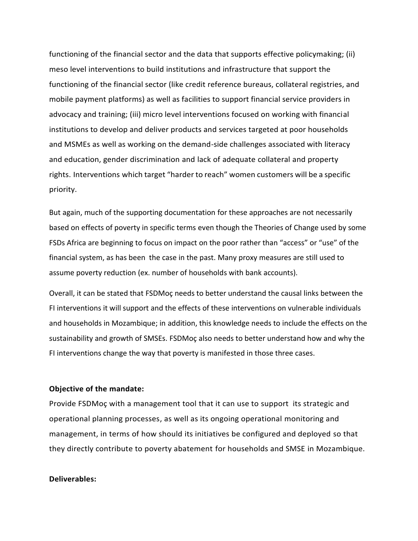functioning of the financial sector and the data that supports effective policymaking; (ii) meso level interventions to build institutions and infrastructure that support the functioning of the financial sector (like credit reference bureaus, collateral registries, and mobile payment platforms) as well as facilities to support financial service providers in advocacy and training; (iii) micro level interventions focused on working with financial institutions to develop and deliver products and services targeted at poor households and MSMEs as well as working on the demand-side challenges associated with literacy and education, gender discrimination and lack of adequate collateral and property rights. Interventions which target "harder to reach" women customers will be a specific priority.

But again, much of the supporting documentation for these approaches are not necessarily based on effects of poverty in specific terms even though the Theories of Change used by some FSDs Africa are beginning to focus on impact on the poor rather than "access" or "use" of the financial system, as has been the case in the past. Many proxy measures are still used to assume poverty reduction (ex. number of households with bank accounts).

Overall, it can be stated that FSDMoç needs to better understand the causal links between the FI interventions it will support and the effects of these interventions on vulnerable individuals and households in Mozambique; in addition, this knowledge needs to include the effects on the sustainability and growth of SMSEs. FSDMoç also needs to better understand how and why the FI interventions change the way that poverty is manifested in those three cases.

#### **Objective of the mandate:**

Provide FSDMoç with a management tool that it can use to support its strategic and operational planning processes, as well as its ongoing operational monitoring and management, in terms of how should its initiatives be configured and deployed so that they directly contribute to poverty abatement for households and SMSE in Mozambique.

#### **Deliverables:**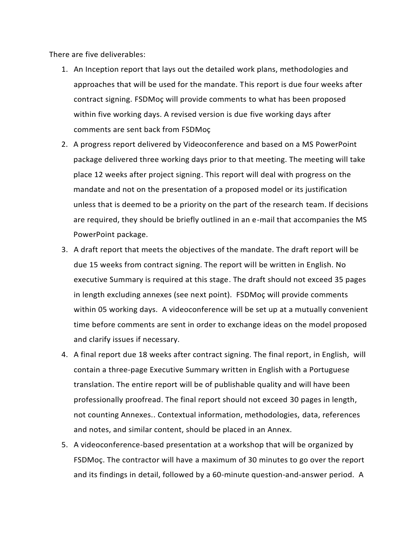There are five deliverables:

- 1. An Inception report that lays out the detailed work plans, methodologies and approaches that will be used for the mandate. This report is due four weeks after contract signing. FSDMoç will provide comments to what has been proposed within five working days. A revised version is due five working days after comments are sent back from FSDMoç
- 2. A progress report delivered by Videoconference and based on a MS PowerPoint package delivered three working days prior to that meeting. The meeting will take place 12 weeks after project signing. This report will deal with progress on the mandate and not on the presentation of a proposed model or its justification unless that is deemed to be a priority on the part of the research team. If decisions are required, they should be briefly outlined in an e-mail that accompanies the MS PowerPoint package.
- 3. A draft report that meets the objectives of the mandate. The draft report will be due 15 weeks from contract signing. The report will be written in English. No executive Summary is required at this stage. The draft should not exceed 35 pages in length excluding annexes (see next point). FSDMoç will provide comments within 05 working days. A videoconference will be set up at a mutually convenient time before comments are sent in order to exchange ideas on the model proposed and clarify issues if necessary.
- 4. A final report due 18 weeks after contract signing. The final report, in English, will contain a three-page Executive Summary written in English with a Portuguese translation. The entire report will be of publishable quality and will have been professionally proofread. The final report should not exceed 30 pages in length, not counting Annexes.. Contextual information, methodologies, data, references and notes, and similar content, should be placed in an Annex.
- 5. A videoconference-based presentation at a workshop that will be organized by FSDMoç. The contractor will have a maximum of 30 minutes to go over the report and its findings in detail, followed by a 60-minute question-and-answer period. A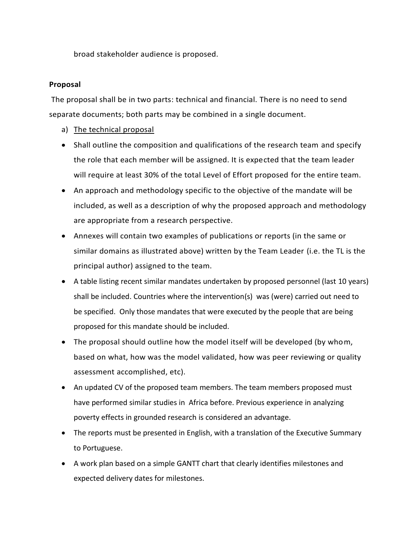broad stakeholder audience is proposed.

## **Proposal**

The proposal shall be in two parts: technical and financial. There is no need to send separate documents; both parts may be combined in a single document.

- a) The technical proposal
- Shall outline the composition and qualifications of the research team and specify the role that each member will be assigned. It is expected that the team leader will require at least 30% of the total Level of Effort proposed for the entire team.
- An approach and methodology specific to the objective of the mandate will be included, as well as a description of why the proposed approach and methodology are appropriate from a research perspective.
- Annexes will contain two examples of publications or reports (in the same or similar domains as illustrated above) written by the Team Leader (i.e. the TL is the principal author) assigned to the team.
- A table listing recent similar mandates undertaken by proposed personnel (last 10 years) shall be included. Countries where the intervention(s) was (were) carried out need to be specified. Only those mandates that were executed by the people that are being proposed for this mandate should be included.
- The proposal should outline how the model itself will be developed (by whom, based on what, how was the model validated, how was peer reviewing or quality assessment accomplished, etc).
- An updated CV of the proposed team members. The team members proposed must have performed similar studies in Africa before. Previous experience in analyzing poverty effects in grounded research is considered an advantage.
- The reports must be presented in English, with a translation of the Executive Summary to Portuguese.
- A work plan based on a simple GANTT chart that clearly identifies milestones and expected delivery dates for milestones.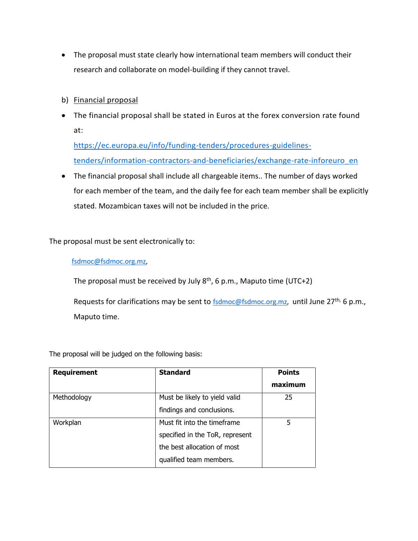- The proposal must state clearly how international team members will conduct their research and collaborate on model-building if they cannot travel.
- b) Financial proposal
- The financial proposal shall be stated in Euros at the forex conversion rate found at:

[https://ec.europa.eu/info/funding-tenders/procedures-guidelines](https://ec.europa.eu/info/funding-tenders/procedures-guidelines-tenders/information-contractors-and-beneficiaries/exchange-rate-inforeuro_en)[tenders/information-contractors-and-beneficiaries/exchange-rate-inforeuro\\_en](https://ec.europa.eu/info/funding-tenders/procedures-guidelines-tenders/information-contractors-and-beneficiaries/exchange-rate-inforeuro_en)

• The financial proposal shall include all chargeable items.. The number of days worked for each member of the team, and the daily fee for each team member shall be explicitly stated. Mozambican taxes will not be included in the price.

The proposal must be sent electronically to:

### [fsdmoc@fsdmoc.org.mz,](mailto:fsdmoc@fsdmoc.org.mz)

The proposal must be received by July 8<sup>th</sup>, 6 p.m., Maputo time (UTC+2)

Requests for clarifications may be sent to [fsdmoc@fsdmoc.org.mz,](mailto:fsdmoc@fsdmoc.org.mz) until June 27<sup>th,</sup> 6 p.m., Maputo time.

The proposal will be judged on the following basis:

| <b>Requirement</b> | <b>Standard</b>                 | <b>Points</b> |
|--------------------|---------------------------------|---------------|
|                    |                                 | maximum       |
| Methodology        | Must be likely to yield valid   | 25            |
|                    | findings and conclusions.       |               |
| Workplan           | Must fit into the timeframe     | 5             |
|                    | specified in the ToR, represent |               |
|                    | the best allocation of most     |               |
|                    | qualified team members.         |               |